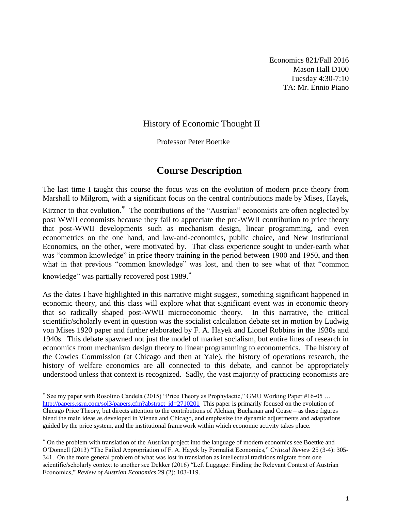Economics 821/Fall 2016 Mason Hall D100 Tuesday 4:30-7:10 TA: Mr. Ennio Piano

#### History of Economic Thought II

Professor Peter Boettke

### **Course Description**

The last time I taught this course the focus was on the evolution of modern price theory from Marshall to Milgrom, with a significant focus on the central contributions made by Mises, Hayek,

Kirzner to that evolution.<sup>\*</sup> The contributions of the "Austrian" economists are often neglected by post WWII economists because they fail to appreciate the pre-WWII contribution to price theory that post-WWII developments such as mechanism design, linear programming, and even econometrics on the one hand, and law-and-economics, public choice, and New Institutional Economics, on the other, were motivated by. That class experience sought to under-earth what was "common knowledge" in price theory training in the period between 1900 and 1950, and then what in that previous "common knowledge" was lost, and then to see what of that "common

knowledge" was partially recovered post 1989.

 $\overline{a}$ 

As the dates I have highlighted in this narrative might suggest, something significant happened in economic theory, and this class will explore what that significant event was in economic theory that so radically shaped post-WWII microeconomic theory. In this narrative, the critical scientific/scholarly event in question was the socialist calculation debate set in motion by Ludwig von Mises 1920 paper and further elaborated by F. A. Hayek and Lionel Robbins in the 1930s and 1940s. This debate spawned not just the model of market socialism, but entire lines of research in economics from mechanism design theory to linear programming to econometrics. The history of the Cowles Commission (at Chicago and then at Yale), the history of operations research, the history of welfare economics are all connected to this debate, and cannot be appropriately understood unless that context is recognized. Sadly, the vast majority of practicing economists are

 $*$  See my paper with Rosolino Candela (2015) "Price Theory as Prophylactic," GMU Working Paper #16-05 ... [http://papers.ssrn.com/sol3/papers.cfm?abstract\\_id=2710201](http://papers.ssrn.com/sol3/papers.cfm?abstract_id=2710201) This paper is primarily focused on the evolution of Chicago Price Theory, but directs attention to the contributions of Alchian, Buchanan and Coase – as these figures blend the main ideas as developed in Vienna and Chicago, and emphasize the dynamic adjustments and adaptations guided by the price system, and the institutional framework within which economic activity takes place.

On the problem with translation of the Austrian project into the language of modern economics see Boettke and O'Donnell (2013) "The Failed Appropriation of F. A. Hayek by Formalist Economics," *Critical Review* 25 (3-4): 305- 341. On the more general problem of what was lost in translation as intellectual traditions migrate from one scientific/scholarly context to another see Dekker (2016) "Left Luggage: Finding the Relevant Context of Austrian Economics," *Review of Austrian Economics* 29 (2): 103-119.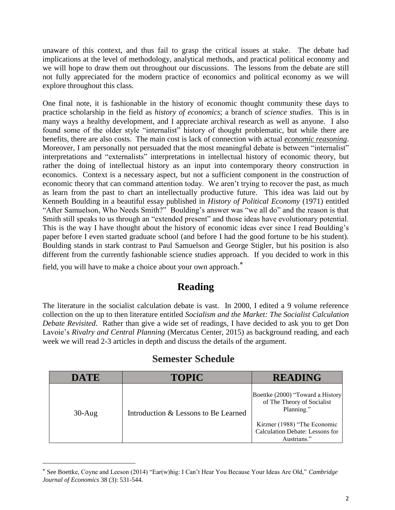unaware of this context, and thus fail to grasp the critical issues at stake. The debate had implications at the level of methodology, analytical methods, and practical political economy and we will hope to draw them out throughout our discussions. The lessons from the debate are still not fully appreciated for the modern practice of economics and political economy as we will explore throughout this class.

One final note, it is fashionable in the history of economic thought community these days to practice scholarship in the field as *history of economics*; a branch of *science studies*. This is in many ways a healthy development, and I appreciate archival research as well as anyone. I also found some of the older style "internalist" history of thought problematic, but while there are benefits, there are also costs. The main cost is lack of connection with actual *economic reasoning*. Moreover, I am personally not persuaded that the most meaningful debate is between "internalist" interpretations and "externalists" interpretations in intellectual history of economic theory, but rather the doing of intellectual history as an input into contemporary theory construction in economics. Context is a necessary aspect, but not a sufficient component in the construction of economic theory that can command attention today. We aren't trying to recover the past, as much as learn from the past to chart an intellectually productive future. This idea was laid out by Kenneth Boulding in a beautiful essay published in *History of Political Economy* (1971) entitled "After Samuelson, Who Needs Smith?" Boulding's answer was "we all do" and the reason is that Smith still speaks to us through an "extended present" and those ideas have evolutionary potential. This is the way I have thought about the history of economic ideas ever since I read Boulding's paper before I even started graduate school (and before I had the good fortune to be his student). Boulding stands in stark contrast to Paul Samuelson and George Stigler, but his position is also different from the currently fashionable science studies approach. If you decided to work in this

field, you will have to make a choice about your own approach.

 $\overline{a}$ 

## **Reading**

The literature in the socialist calculation debate is vast. In 2000, I edited a 9 volume reference collection on the up to then literature entitled *Socialism and the Market: The Socialist Calculation Debate Revisited*. Rather than give a wide set of readings, I have decided to ask you to get Don Lavoie's *Rivalry and Central Planning* (Mercatus Center, 2015) as background reading, and each week we will read 2-3 articles in depth and discuss the details of the argument.

| <b>DATE</b> | <b>TOPIC</b>                         | <b>READING</b>                                                                 |
|-------------|--------------------------------------|--------------------------------------------------------------------------------|
| $30-Aug$    | Introduction & Lessons to Be Learned | Boettke (2000) "Toward a History<br>of The Theory of Socialist<br>Planning."   |
|             |                                      | Kirzner (1988) "The Economic<br>Calculation Debate: Lessons for<br>Austrians." |

#### **Semester Schedule**

See Boettke, Coyne and Leeson (2014) "Ear(w)hig: I Can't Hear You Because Your Ideas Are Old," *Cambridge Journal of Economics* 38 (3): 531-544.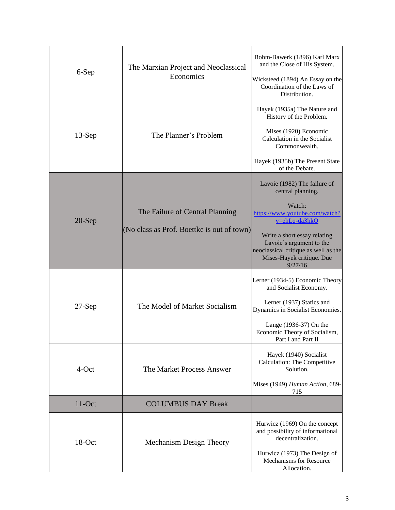| 6-Sep    | The Marxian Project and Neoclassical<br>Economics                             | Bohm-Bawerk (1896) Karl Marx<br>and the Close of His System.<br>Wicksteed (1894) An Essay on the<br>Coordination of the Laws of<br>Distribution.                           |
|----------|-------------------------------------------------------------------------------|----------------------------------------------------------------------------------------------------------------------------------------------------------------------------|
| $13-Sep$ | The Planner's Problem                                                         | Hayek (1935a) The Nature and<br>History of the Problem.<br>Mises (1920) Economic<br>Calculation in the Socialist<br>Commonwealth.                                          |
|          |                                                                               | Hayek (1935b) The Present State<br>of the Debate.                                                                                                                          |
| $20-Sep$ | The Failure of Central Planning<br>(No class as Prof. Boettke is out of town) | Lavoie (1982) The failure of<br>central planning.<br>Watch:<br>https://www.youtube.com/watch?<br>v=ehLq-da3hkQ<br>Write a short essay relating<br>Lavoie's argument to the |
|          |                                                                               | neoclassical critique as well as the<br>Mises-Hayek critique. Due<br>9/27/16                                                                                               |
| $27-Sep$ | The Model of Market Socialism                                                 | Lerner (1934-5) Economic Theory<br>and Socialist Economy.<br>Lerner (1937) Statics and<br>Dynamics in Socialist Economies.                                                 |
|          |                                                                               | Lange (1936-37) On the<br>Economic Theory of Socialism,<br>Part I and Part II                                                                                              |
| 4-Oct    | The Market Process Answer                                                     | Hayek (1940) Socialist<br>Calculation: The Competitive<br>Solution.                                                                                                        |
|          |                                                                               | Mises (1949) Human Action, 689-<br>715                                                                                                                                     |
| $11-Oct$ | <b>COLUMBUS DAY Break</b>                                                     |                                                                                                                                                                            |
| 18-Oct   | Mechanism Design Theory                                                       | Hurwicz (1969) On the concept<br>and possibility of informational<br>decentralization.<br>Hurwicz (1973) The Design of<br>Mechanisms for Resource<br>Allocation.           |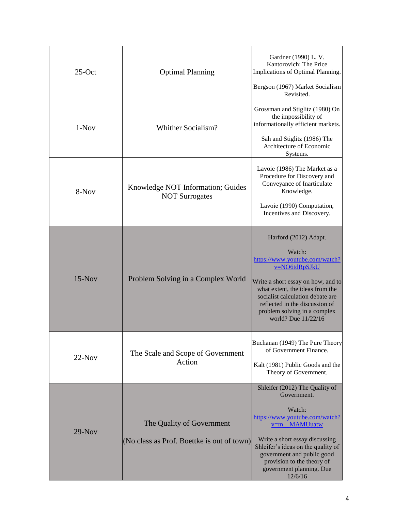| $25$ -Oct | <b>Optimal Planning</b>                                                 | Gardner (1990) L. V.<br>Kantorovich: The Price<br>Implications of Optimal Planning.<br>Bergson (1967) Market Socialism<br>Revisited.                                                                                                                                                     |
|-----------|-------------------------------------------------------------------------|------------------------------------------------------------------------------------------------------------------------------------------------------------------------------------------------------------------------------------------------------------------------------------------|
| $1-Nov$   | Whither Socialism?                                                      | Grossman and Stiglitz (1980) On<br>the impossibility of<br>informationally efficient markets.<br>Sah and Stiglitz (1986) The<br>Architecture of Economic<br>Systems.                                                                                                                     |
| 8-Nov     | Knowledge NOT Information; Guides<br><b>NOT Surrogates</b>              | Lavoie (1986) The Market as a<br>Procedure for Discovery and<br>Conveyance of Inarticulate<br>Knowledge.<br>Lavoie (1990) Computation,<br>Incentives and Discovery.                                                                                                                      |
| $15-Nov$  | Problem Solving in a Complex World                                      | Harford (2012) Adapt.<br>Watch:<br>https://www.youtube.com/watch?<br>v=NO6tdRpSJkU<br>Write a short essay on how, and to<br>what extent, the ideas from the<br>socialist calculation debate are<br>reflected in the discussion of<br>problem solving in a complex<br>world? Due 11/22/16 |
| $22-Nov$  | The Scale and Scope of Government<br>Action                             | Buchanan (1949) The Pure Theory<br>of Government Finance.<br>Kalt (1981) Public Goods and the<br>Theory of Government.                                                                                                                                                                   |
| $29-Nov$  | The Quality of Government<br>(No class as Prof. Boettke is out of town) | Shleifer (2012) The Quality of<br>Government.<br>Watch:<br>https://www.youtube.com/watch?<br>v=m_MAMUuatw<br>Write a short essay discussing<br>Shleifer's ideas on the quality of<br>government and public good<br>provision to the theory of<br>government planning. Due<br>12/6/16     |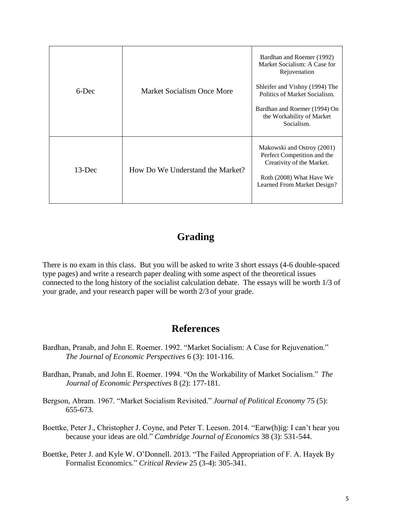| $6$ -Dec  | Market Socialism Once More       | Bardhan and Roemer (1992)<br>Market Socialism: A Case for<br>Rejuvenation<br>Shleifer and Vishny (1994) The<br>Politics of Market Socialism.<br>Bardhan and Roemer (1994) On<br>the Workability of Market<br>Socialism. |
|-----------|----------------------------------|-------------------------------------------------------------------------------------------------------------------------------------------------------------------------------------------------------------------------|
| $13$ -Dec | How Do We Understand the Market? | Makowski and Ostroy (2001)<br>Perfect Competition and the<br>Creativity of the Market.<br>Roth (2008) What Have We<br>Learned From Market Design?                                                                       |

# **Grading**

There is no exam in this class. But you will be asked to write 3 short essays (4-6 double-spaced type pages) and write a research paper dealing with some aspect of the theoretical issues connected to the long history of the socialist calculation debate. The essays will be worth 1/3 of your grade, and your research paper will be worth 2/3 of your grade.

## **References**

- Bardhan, Pranab, and John E. Roemer. 1992. "Market Socialism: A Case for Rejuvenation." *The Journal of Economic Perspectives* 6 (3): 101-116.
- Bardhan, Pranab, and John E. Roemer. 1994. "On the Workability of Market Socialism." *The Journal of Economic Perspectives* 8 (2): 177-181.
- Bergson, Abram. 1967. "Market Socialism Revisited." *Journal of Political Economy* 75 (5): 655-673.
- Boettke, Peter J., Christopher J. Coyne, and Peter T. Leeson. 2014. "Earw(h)ig: I can't hear you because your ideas are old." *Cambridge Journal of Economics* 38 (3): 531-544.
- Boettke, Peter J. and Kyle W. O'Donnell. 2013. "The Failed Appropriation of F. A. Hayek By Formalist Economics." *Critical Review* 25 (3-4): 305-341.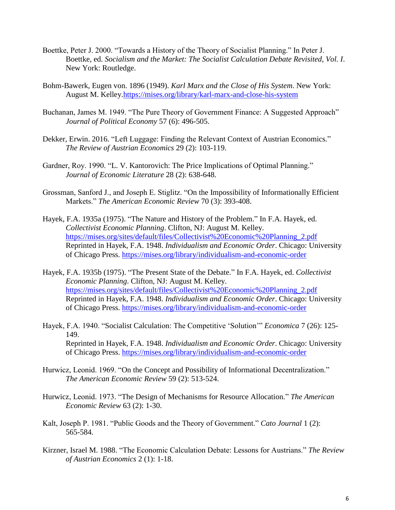- Boettke, Peter J. 2000. "Towards a History of the Theory of Socialist Planning." In Peter J. Boettke, ed. *Socialism and the Market: The Socialist Calculation Debate Revisited, Vol. I*. New York: Routledge.
- Bohm-Bawerk, Eugen von. 1896 (1949). *Karl Marx and the Close of His System*. New York: August M. Kelley[.https://mises.org/library/karl-marx-and-close-his-system](https://mises.org/library/karl-marx-and-close-his-system)
- Buchanan, James M. 1949. "The Pure Theory of Government Finance: A Suggested Approach" *Journal of Political Economy* 57 (6): 496-505.
- Dekker, Erwin. 2016. "Left Luggage: Finding the Relevant Context of Austrian Economics." *The Review of Austrian Economics* 29 (2): 103-119.
- Gardner, Roy. 1990. "L. V. Kantorovich: The Price Implications of Optimal Planning." *Journal of Economic Literature* 28 (2): 638-648.
- Grossman, Sanford J., and Joseph E. Stiglitz. "On the Impossibility of Informationally Efficient Markets." *The American Economic Review* 70 (3): 393-408.
- Hayek, F.A. 1935a (1975). "The Nature and History of the Problem." In F.A. Hayek, ed. *Collectivist Economic Planning*. Clifton, NJ: August M. Kelley. [https://mises.org/sites/default/files/Collectivist%20Economic%20Planning\\_2.pdf](https://mises.org/sites/default/files/Collectivist%20Economic%20Planning_2.pdf) Reprinted in Hayek, F.A. 1948. *Individualism and Economic Order*. Chicago: University of Chicago Press.<https://mises.org/library/individualism-and-economic-order>
- Hayek, F.A. 1935b (1975). "The Present State of the Debate." In F.A. Hayek, ed. *Collectivist Economic Planning*. Clifton, NJ: August M. Kelley. [https://mises.org/sites/default/files/Collectivist%20Economic%20Planning\\_2.pdf](https://mises.org/sites/default/files/Collectivist%20Economic%20Planning_2.pdf) Reprinted in Hayek, F.A. 1948. *Individualism and Economic Order*. Chicago: University of Chicago Press. <https://mises.org/library/individualism-and-economic-order>
- Hayek, F.A. 1940. "Socialist Calculation: The Competitive 'Solution'" *Economica* 7 (26): 125- 149. Reprinted in Hayek, F.A. 1948. *Individualism and Economic Order*. Chicago: University of Chicago Press. <https://mises.org/library/individualism-and-economic-order>
- Hurwicz, Leonid. 1969. "On the Concept and Possibility of Informational Decentralization." *The American Economic Review* 59 (2): 513-524.
- Hurwicz, Leonid. 1973. "The Design of Mechanisms for Resource Allocation." *The American Economic Review* 63 (2): 1-30.
- Kalt, Joseph P. 1981. "Public Goods and the Theory of Government." *Cato Journal* 1 (2): 565-584.
- Kirzner, Israel M. 1988. "The Economic Calculation Debate: Lessons for Austrians." *The Review of Austrian Economics* 2 (1): 1-18.